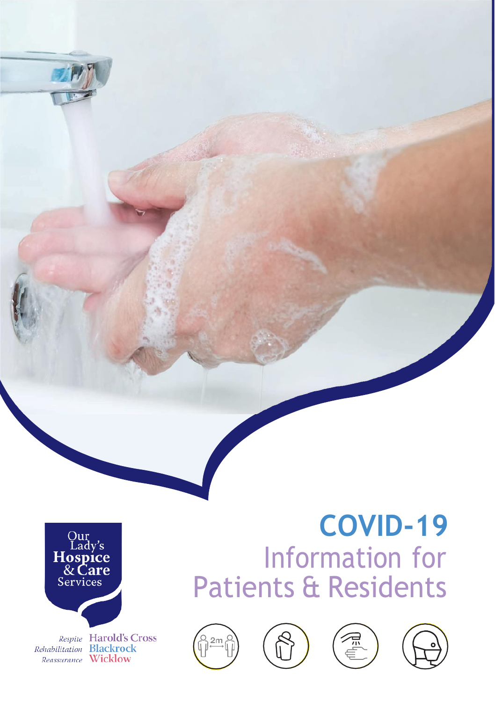

Respite Harold's Cross Rehabilitation Blackrock Reassurance Wicklow

# **COVID-19** Information for Patients & Residents







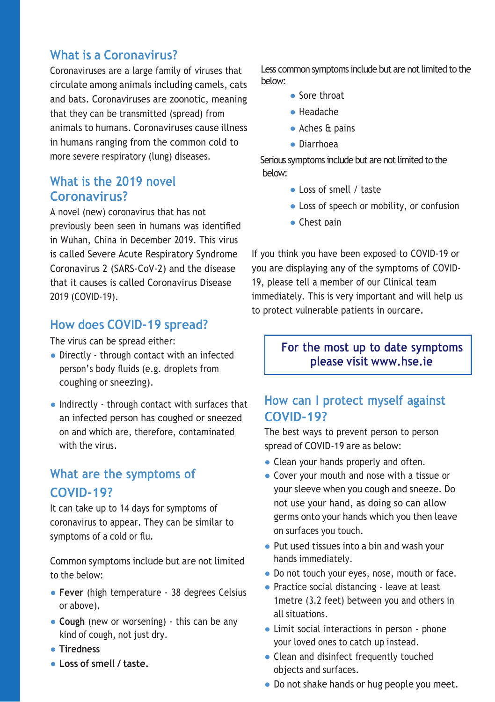#### **What is a Coronavirus?**

Coronaviruses are a large family of viruses that circulate among animals including camels, cats and bats. Coronaviruses are zoonotic, meaning that they can be transmitted (spread) from animals to humans. Coronaviruses cause illness in humans ranging from the common cold to more severe respiratory (lung) diseases.

#### **What is the 2019 novel Coronavirus?**

A novel (new) coronavirus that has not previously been seen in humans was identified in Wuhan, China in December 2019. This virus is called Severe Acute Respiratory Syndrome Coronavirus 2 (SARS-CoV-2) and the disease that it causes is called Coronavirus Disease 2019 (COVID-19).

#### **How does COVID-19 spread?**

The virus can be spread either:

- Directly through contact with an infected person's body fluids (e.g. droplets from coughing or sneezing).
- Indirectly through contact with surfaces that an infected person has coughed or sneezed on and which are, therefore, contaminated with the virus.

## **What are the symptoms of COVID-19?**

It can take up to 14 days for symptoms of coronavirus to appear. They can be similar to symptoms of a cold or flu.

Common symptoms include but are not limited to the below:

- **Fever** (high temperature 38 degrees Celsius or above).
- **Cough** (new or worsening) this can be any kind of cough, not just dry.
- **Tiredness**
- **Loss of smell / taste.**

Less common symptoms include but are not limited to the below:

- Sore throat
- Headache
- Aches & pains
- Diarrhoea

 Serious symptoms include but are not limited to the below:

- Loss of smell / taste
- Loss of speech or mobility, or confusion
- Chest pain

If you think you have been exposed to COVID-19 or you are displaying any of the symptoms of COVID-19, please tell a member of our Clinical team immediately. This is very important and will help us to protect vulnerable patients in ourcare.

#### **For the most up to date symptoms please visit [www.hse.ie](http://www.hse.ie/)**

#### **How can I protect myself against COVID-19?**

The best ways to prevent person to person spread of COVID-19 are as below:

- Clean your hands properly and often.
- Cover your mouth and nose with a tissue or your sleeve when you cough and sneeze. Do not use your hand, as doing so can allow germs onto your hands which you then leave on surfaces you touch.
- Put used tissues into a bin and wash your hands immediately.
- Do not touch your eyes, nose, mouth or face.
- Practice social distancing leave at least 1metre (3.2 feet) between you and others in all situations.
- Limit social interactions in person phone your loved ones to catch up instead.
- Clean and disinfect frequently touched objects and surfaces.
- Do not shake hands or hug people you meet.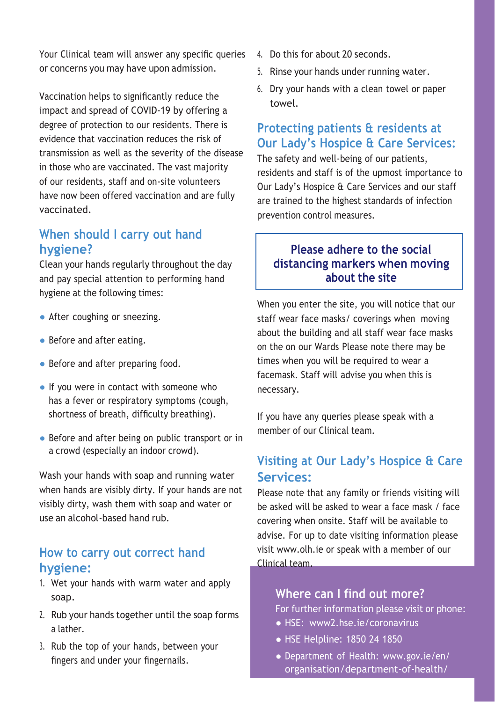Your Clinical team will answer any specific queries or concerns you may have upon admission.

Vaccination helps to significantly reduce the impact and spread of COVID-19 by offering a degree of protection to our residents. There is evidence that vaccination reduces the risk of transmission as well as the severity of the disease in those who are vaccinated. The vast majority of our residents, staff and on-site volunteers have now been offered vaccination and are fully vaccinated.

#### **When should I carry out hand hygiene?**

Clean your hands regularly throughout the day and pay special attention to performing hand hygiene at the following times:

- After coughing or sneezing.
- Before and after eating.
- Before and after preparing food.
- If you were in contact with someone who has a fever or respiratory symptoms (cough, shortness of breath, difficulty breathing).
- Before and after being on public transport or in a crowd (especially an indoor crowd).

Wash your hands with soap and running water when hands are visibly dirty. If your hands are not visibly dirty, wash them with soap and water or use an alcohol-based hand rub.

#### **How to carry out correct hand hygiene:**

- 1. Wet your hands with warm water and apply soap.
- 2. Rub your hands together until the soap forms a lather.
- 3. Rub the top of your hands, between your fingers and under your fingernails.
- 4. Do this for about 20 seconds.
- 5. Rinse your hands under running water.
- 6. Dry your hands with a clean towel or paper towel.

#### **Protecting patients & residents at Our Lady's Hospice & Care Services:**

The safety and well-being of our patients, residents and staff is of the upmost importance to Our Lady's Hospice & Care Services and our staff are trained to the highest standards of infection prevention control measures.

#### **Please adhere to the social distancing markers when moving about the site**

When you enter the site, you will notice that our staff wear face masks/ coverings when moving about the building and all staff wear face masks on the on our Wards Please note there may be times when you will be required to wear a facemask. Staff will advise you when this is necessary.

If you have any queries please speak with a member of our Clinical team.

## **Visiting at Our Lady's Hospice & Care Services:**

Please note that any family or friends visiting will be asked will be asked to wear a face mask / face covering when onsite. Staff will be available to advise. For up to date visiting information please visit [www.olh.ie o](http://www.olh.ie/)r speak with a member of our Clinical team.

#### **Where can I find out more?**

For further information please visit or phone:

- HSE: www2.hse.ie/coronavirus
- HSE Helpline: 1850 24 1850
- Department of Health: [www.gov.ie/en/](http://www.gov.ie/en/) organisation/department-of-health/